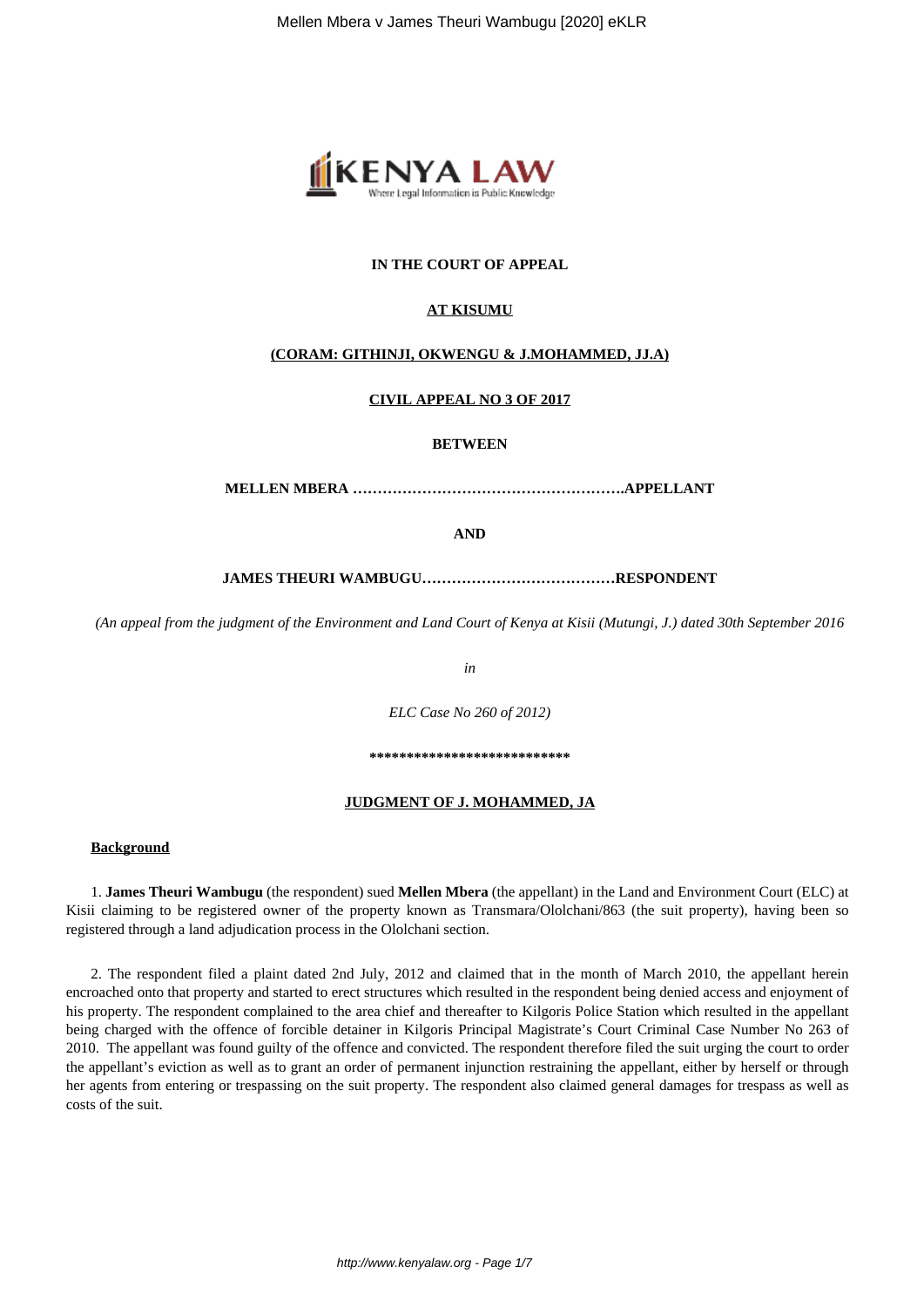

# **IN THE COURT OF APPEAL**

# **AT KISUMU**

# **(CORAM: GITHINJI, OKWENGU & J.MOHAMMED, JJ.A)**

# **CIVIL APPEAL NO 3 OF 2017**

#### **BETWEEN**

**MELLEN MBERA ……………………………………………….APPELLANT**

**AND**

**JAMES THEURI WAMBUGU…………………………………RESPONDENT**

*(An appeal from the judgment of the Environment and Land Court of Kenya at Kisii (Mutungi, J.) dated 30th September 2016*

*in*

*ELC Case No 260 of 2012)*

**\*\*\*\*\*\*\*\*\*\*\*\*\*\*\*\*\*\*\*\*\*\*\*\*\*\*\***

#### **JUDGMENT OF J. MOHAMMED, JA**

# **Background**

1. **James Theuri Wambugu** (the respondent) sued **Mellen Mbera** (the appellant) in the Land and Environment Court (ELC) at Kisii claiming to be registered owner of the property known as Transmara/Ololchani/863 (the suit property), having been so registered through a land adjudication process in the Ololchani section.

2. The respondent filed a plaint dated 2nd July, 2012 and claimed that in the month of March 2010, the appellant herein encroached onto that property and started to erect structures which resulted in the respondent being denied access and enjoyment of his property. The respondent complained to the area chief and thereafter to Kilgoris Police Station which resulted in the appellant being charged with the offence of forcible detainer in Kilgoris Principal Magistrate's Court Criminal Case Number No 263 of 2010. The appellant was found guilty of the offence and convicted. The respondent therefore filed the suit urging the court to order the appellant's eviction as well as to grant an order of permanent injunction restraining the appellant, either by herself or through her agents from entering or trespassing on the suit property. The respondent also claimed general damages for trespass as well as costs of the suit.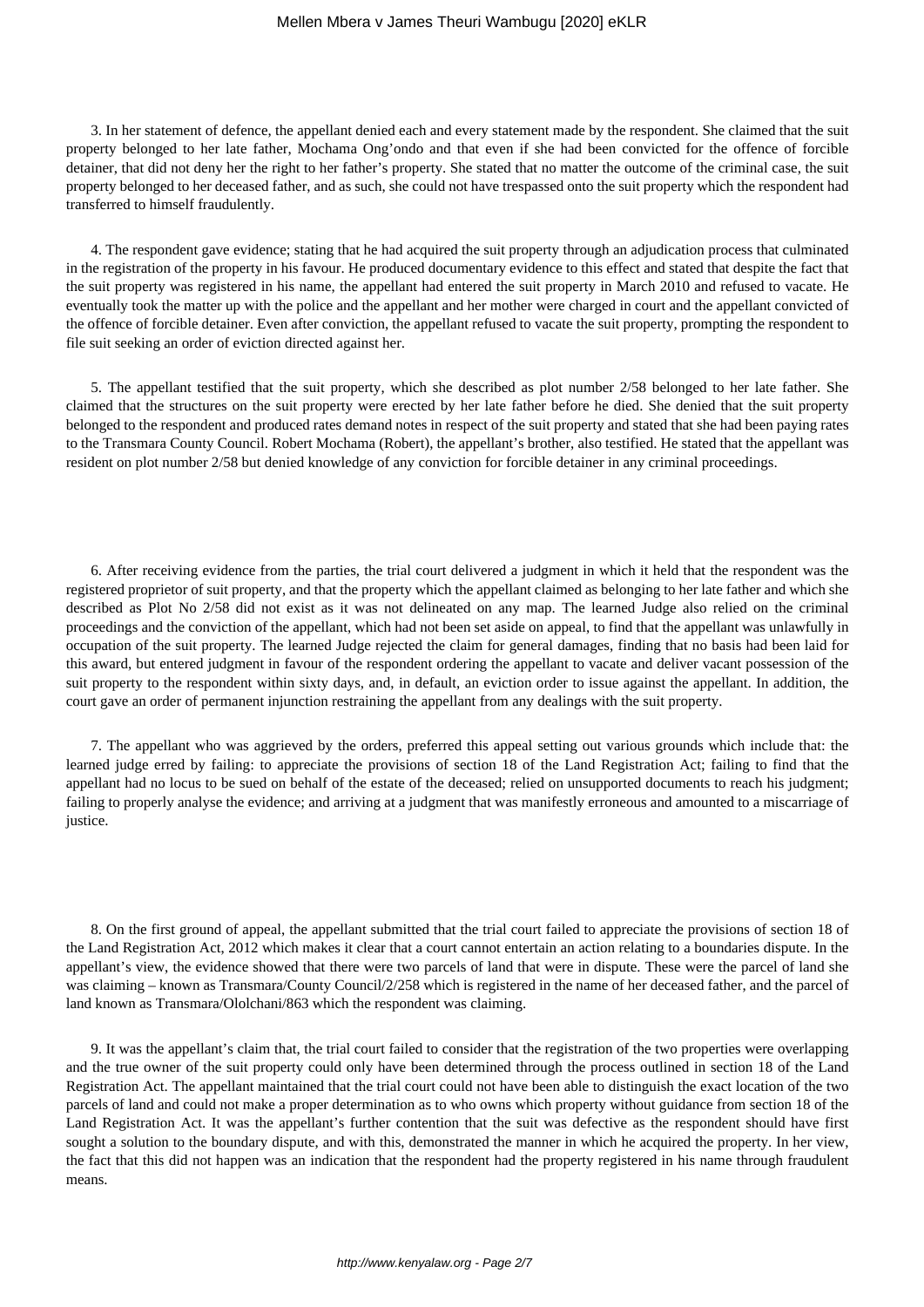#### Mellen Mbera v James Theuri Wambugu [2020] eKLR

3. In her statement of defence, the appellant denied each and every statement made by the respondent. She claimed that the suit property belonged to her late father, Mochama Ong'ondo and that even if she had been convicted for the offence of forcible detainer, that did not deny her the right to her father's property. She stated that no matter the outcome of the criminal case, the suit property belonged to her deceased father, and as such, she could not have trespassed onto the suit property which the respondent had transferred to himself fraudulently.

4. The respondent gave evidence; stating that he had acquired the suit property through an adjudication process that culminated in the registration of the property in his favour. He produced documentary evidence to this effect and stated that despite the fact that the suit property was registered in his name, the appellant had entered the suit property in March 2010 and refused to vacate. He eventually took the matter up with the police and the appellant and her mother were charged in court and the appellant convicted of the offence of forcible detainer. Even after conviction, the appellant refused to vacate the suit property, prompting the respondent to file suit seeking an order of eviction directed against her.

5. The appellant testified that the suit property, which she described as plot number 2/58 belonged to her late father. She claimed that the structures on the suit property were erected by her late father before he died. She denied that the suit property belonged to the respondent and produced rates demand notes in respect of the suit property and stated that she had been paying rates to the Transmara County Council. Robert Mochama (Robert), the appellant's brother, also testified. He stated that the appellant was resident on plot number 2/58 but denied knowledge of any conviction for forcible detainer in any criminal proceedings.

6. After receiving evidence from the parties, the trial court delivered a judgment in which it held that the respondent was the registered proprietor of suit property, and that the property which the appellant claimed as belonging to her late father and which she described as Plot No 2/58 did not exist as it was not delineated on any map. The learned Judge also relied on the criminal proceedings and the conviction of the appellant, which had not been set aside on appeal, to find that the appellant was unlawfully in occupation of the suit property. The learned Judge rejected the claim for general damages, finding that no basis had been laid for this award, but entered judgment in favour of the respondent ordering the appellant to vacate and deliver vacant possession of the suit property to the respondent within sixty days, and, in default, an eviction order to issue against the appellant. In addition, the court gave an order of permanent injunction restraining the appellant from any dealings with the suit property.

7. The appellant who was aggrieved by the orders, preferred this appeal setting out various grounds which include that: the learned judge erred by failing: to appreciate the provisions of section 18 of the Land Registration Act; failing to find that the appellant had no locus to be sued on behalf of the estate of the deceased; relied on unsupported documents to reach his judgment; failing to properly analyse the evidence; and arriving at a judgment that was manifestly erroneous and amounted to a miscarriage of justice.

8. On the first ground of appeal, the appellant submitted that the trial court failed to appreciate the provisions of section 18 of the Land Registration Act, 2012 which makes it clear that a court cannot entertain an action relating to a boundaries dispute. In the appellant's view, the evidence showed that there were two parcels of land that were in dispute. These were the parcel of land she was claiming – known as Transmara/County Council/2/258 which is registered in the name of her deceased father, and the parcel of land known as Transmara/Ololchani/863 which the respondent was claiming.

9. It was the appellant's claim that, the trial court failed to consider that the registration of the two properties were overlapping and the true owner of the suit property could only have been determined through the process outlined in section 18 of the Land Registration Act. The appellant maintained that the trial court could not have been able to distinguish the exact location of the two parcels of land and could not make a proper determination as to who owns which property without guidance from section 18 of the Land Registration Act. It was the appellant's further contention that the suit was defective as the respondent should have first sought a solution to the boundary dispute, and with this, demonstrated the manner in which he acquired the property. In her view, the fact that this did not happen was an indication that the respondent had the property registered in his name through fraudulent means.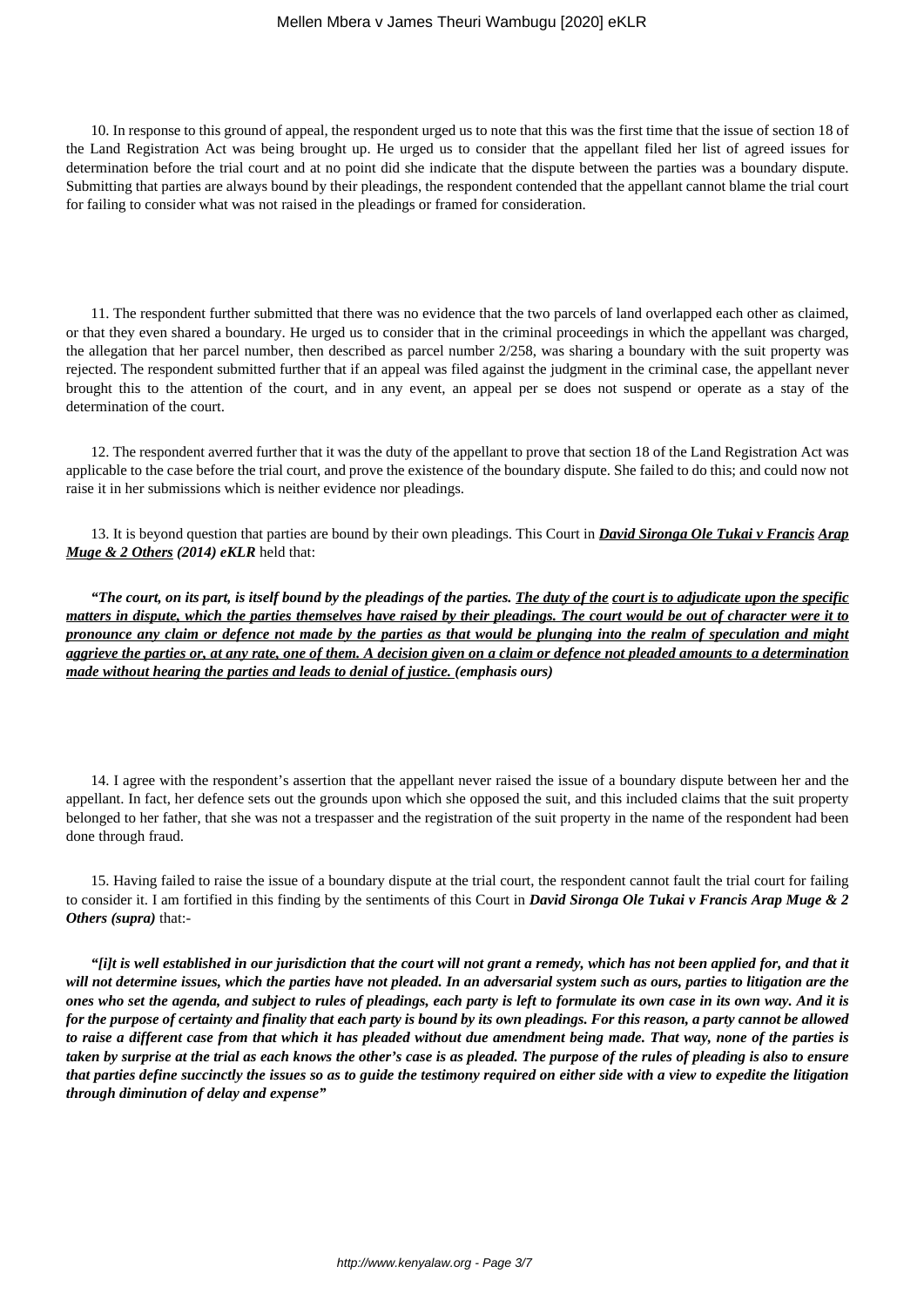10. In response to this ground of appeal, the respondent urged us to note that this was the first time that the issue of section 18 of the Land Registration Act was being brought up. He urged us to consider that the appellant filed her list of agreed issues for determination before the trial court and at no point did she indicate that the dispute between the parties was a boundary dispute. Submitting that parties are always bound by their pleadings, the respondent contended that the appellant cannot blame the trial court for failing to consider what was not raised in the pleadings or framed for consideration.

11. The respondent further submitted that there was no evidence that the two parcels of land overlapped each other as claimed, or that they even shared a boundary. He urged us to consider that in the criminal proceedings in which the appellant was charged, the allegation that her parcel number, then described as parcel number 2/258, was sharing a boundary with the suit property was rejected. The respondent submitted further that if an appeal was filed against the judgment in the criminal case, the appellant never brought this to the attention of the court, and in any event, an appeal per se does not suspend or operate as a stay of the determination of the court.

12. The respondent averred further that it was the duty of the appellant to prove that section 18 of the Land Registration Act was applicable to the case before the trial court, and prove the existence of the boundary dispute. She failed to do this; and could now not raise it in her submissions which is neither evidence nor pleadings.

13. It is beyond question that parties are bound by their own pleadings. This Court in *David Sironga Ole Tukai v Francis Arap Muge & 2 Others (2014) eKLR* held that:

*"The court, on its part, is itself bound by the pleadings of the parties. The duty of the court is to adjudicate upon the specific matters in dispute, which the parties themselves have raised by their pleadings. The court would be out of character were it to pronounce any claim or defence not made by the parties as that would be plunging into the realm of speculation and might aggrieve the parties or, at any rate, one of them. A decision given on a claim or defence not pleaded amounts to a determination made without hearing the parties and leads to denial of justice. (emphasis ours)*

14. I agree with the respondent's assertion that the appellant never raised the issue of a boundary dispute between her and the appellant. In fact, her defence sets out the grounds upon which she opposed the suit, and this included claims that the suit property belonged to her father, that she was not a trespasser and the registration of the suit property in the name of the respondent had been done through fraud.

15. Having failed to raise the issue of a boundary dispute at the trial court, the respondent cannot fault the trial court for failing to consider it. I am fortified in this finding by the sentiments of this Court in *David Sironga Ole Tukai v Francis Arap Muge & 2 Others (supra)* that:-

*"[i]t is well established in our jurisdiction that the court will not grant a remedy, which has not been applied for, and that it will not determine issues, which the parties have not pleaded. In an adversarial system such as ours, parties to litigation are the ones who set the agenda, and subject to rules of pleadings, each party is left to formulate its own case in its own way. And it is for the purpose of certainty and finality that each party is bound by its own pleadings. For this reason, a party cannot be allowed to raise a different case from that which it has pleaded without due amendment being made. That way, none of the parties is taken by surprise at the trial as each knows the other's case is as pleaded. The purpose of the rules of pleading is also to ensure that parties define succinctly the issues so as to guide the testimony required on either side with a view to expedite the litigation through diminution of delay and expense"*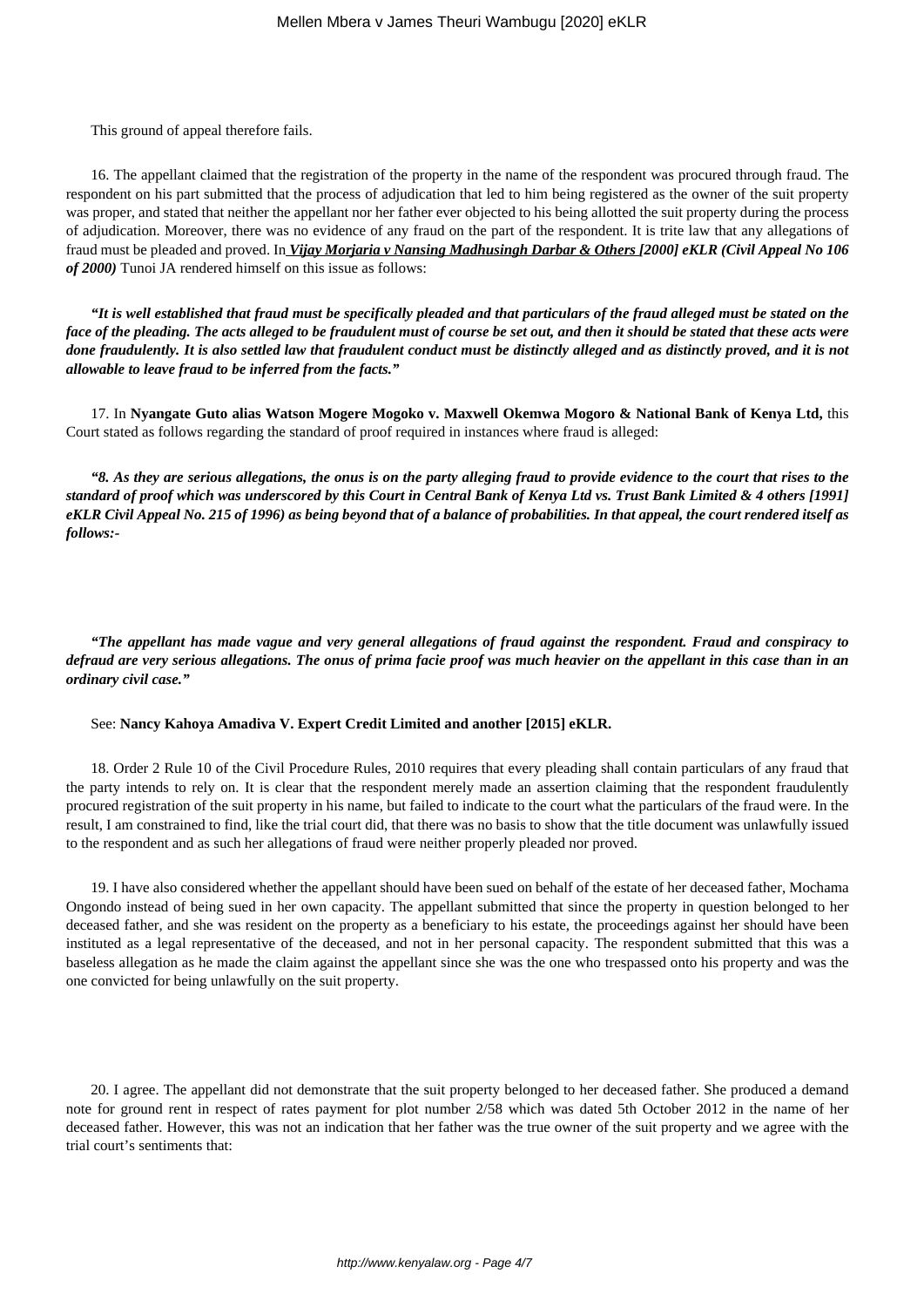This ground of appeal therefore fails.

16. The appellant claimed that the registration of the property in the name of the respondent was procured through fraud. The respondent on his part submitted that the process of adjudication that led to him being registered as the owner of the suit property was proper, and stated that neither the appellant nor her father ever objected to his being allotted the suit property during the process of adjudication. Moreover, there was no evidence of any fraud on the part of the respondent. It is trite law that any allegations of fraud must be pleaded and proved. In *Vijay Morjaria v Nansing Madhusingh Darbar & Others [2000] eKLR (Civil Appeal No 106 of 2000)* Tunoi JA rendered himself on this issue as follows:

*"It is well established that fraud must be specifically pleaded and that particulars of the fraud alleged must be stated on the face of the pleading. The acts alleged to be fraudulent must of course be set out, and then it should be stated that these acts were done fraudulently. It is also settled law that fraudulent conduct must be distinctly alleged and as distinctly proved, and it is not allowable to leave fraud to be inferred from the facts."*

17. In **Nyangate Guto alias Watson Mogere Mogoko v. Maxwell Okemwa Mogoro & National Bank of Kenya Ltd,** this Court stated as follows regarding the standard of proof required in instances where fraud is alleged:

*"8. As they are serious allegations, the onus is on the party alleging fraud to provide evidence to the court that rises to the standard of proof which was underscored by this Court in Central Bank of Kenya Ltd vs. Trust Bank Limited & 4 others [1991] eKLR Civil Appeal No. 215 of 1996) as being beyond that of a balance of probabilities. In that appeal, the court rendered itself as follows:-*

*"The appellant has made vague and very general allegations of fraud against the respondent. Fraud and conspiracy to defraud are very serious allegations. The onus of prima facie proof was much heavier on the appellant in this case than in an ordinary civil case."*

#### See: **Nancy Kahoya Amadiva V. Expert Credit Limited and another [2015] eKLR.**

18. Order 2 Rule 10 of the Civil Procedure Rules, 2010 requires that every pleading shall contain particulars of any fraud that the party intends to rely on. It is clear that the respondent merely made an assertion claiming that the respondent fraudulently procured registration of the suit property in his name, but failed to indicate to the court what the particulars of the fraud were. In the result, I am constrained to find, like the trial court did, that there was no basis to show that the title document was unlawfully issued to the respondent and as such her allegations of fraud were neither properly pleaded nor proved.

19. I have also considered whether the appellant should have been sued on behalf of the estate of her deceased father, Mochama Ongondo instead of being sued in her own capacity. The appellant submitted that since the property in question belonged to her deceased father, and she was resident on the property as a beneficiary to his estate, the proceedings against her should have been instituted as a legal representative of the deceased, and not in her personal capacity. The respondent submitted that this was a baseless allegation as he made the claim against the appellant since she was the one who trespassed onto his property and was the one convicted for being unlawfully on the suit property.

20. I agree. The appellant did not demonstrate that the suit property belonged to her deceased father. She produced a demand note for ground rent in respect of rates payment for plot number 2/58 which was dated 5th October 2012 in the name of her deceased father. However, this was not an indication that her father was the true owner of the suit property and we agree with the trial court's sentiments that: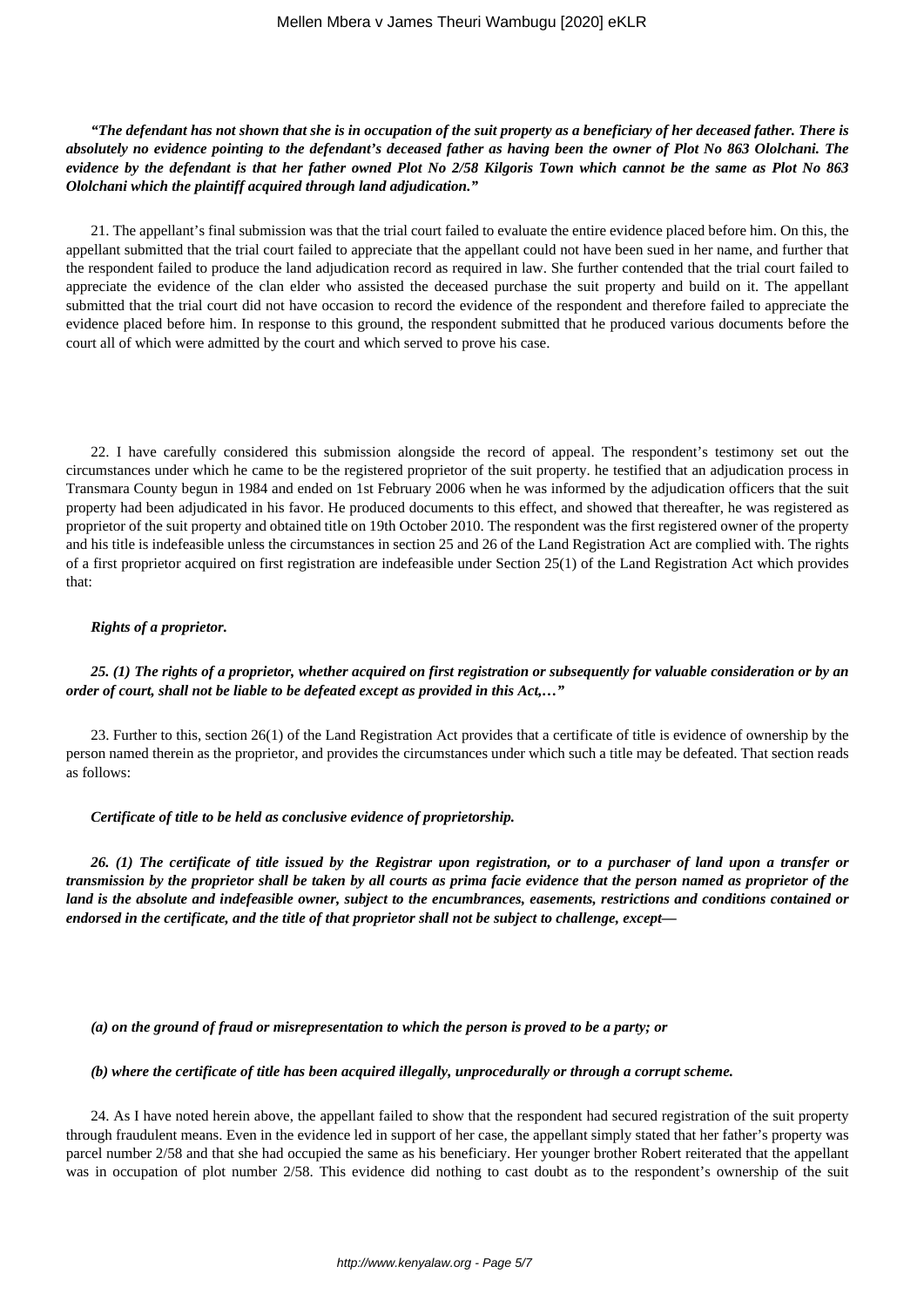*"The defendant has not shown that she is in occupation of the suit property as a beneficiary of her deceased father. There is absolutely no evidence pointing to the defendant's deceased father as having been the owner of Plot No 863 Ololchani. The evidence by the defendant is that her father owned Plot No 2/58 Kilgoris Town which cannot be the same as Plot No 863 Ololchani which the plaintiff acquired through land adjudication."*

21. The appellant's final submission was that the trial court failed to evaluate the entire evidence placed before him. On this, the appellant submitted that the trial court failed to appreciate that the appellant could not have been sued in her name, and further that the respondent failed to produce the land adjudication record as required in law. She further contended that the trial court failed to appreciate the evidence of the clan elder who assisted the deceased purchase the suit property and build on it. The appellant submitted that the trial court did not have occasion to record the evidence of the respondent and therefore failed to appreciate the evidence placed before him. In response to this ground, the respondent submitted that he produced various documents before the court all of which were admitted by the court and which served to prove his case.

22. I have carefully considered this submission alongside the record of appeal. The respondent's testimony set out the circumstances under which he came to be the registered proprietor of the suit property. he testified that an adjudication process in Transmara County begun in 1984 and ended on 1st February 2006 when he was informed by the adjudication officers that the suit property had been adjudicated in his favor. He produced documents to this effect, and showed that thereafter, he was registered as proprietor of the suit property and obtained title on 19th October 2010. The respondent was the first registered owner of the property and his title is indefeasible unless the circumstances in section 25 and 26 of the Land Registration Act are complied with. The rights of a first proprietor acquired on first registration are indefeasible under Section 25(1) of the Land Registration Act which provides that:

#### *Rights of a proprietor.*

*25. (1) The rights of a proprietor, whether acquired on first registration or subsequently for valuable consideration or by an order of court, shall not be liable to be defeated except as provided in this Act,…"*

23. Further to this, section 26(1) of the Land Registration Act provides that a certificate of title is evidence of ownership by the person named therein as the proprietor, and provides the circumstances under which such a title may be defeated. That section reads as follows:

*Certificate of title to be held as conclusive evidence of proprietorship.*

*26. (1) The certificate of title issued by the Registrar upon registration, or to a purchaser of land upon a transfer or transmission by the proprietor shall be taken by all courts as prima facie evidence that the person named as proprietor of the land is the absolute and indefeasible owner, subject to the encumbrances, easements, restrictions and conditions contained or endorsed in the certificate, and the title of that proprietor shall not be subject to challenge, except—*

*(a) on the ground of fraud or misrepresentation to which the person is proved to be a party; or*

*(b) where the certificate of title has been acquired illegally, unprocedurally or through a corrupt scheme.*

24. As I have noted herein above, the appellant failed to show that the respondent had secured registration of the suit property through fraudulent means. Even in the evidence led in support of her case, the appellant simply stated that her father's property was parcel number 2/58 and that she had occupied the same as his beneficiary. Her younger brother Robert reiterated that the appellant was in occupation of plot number 2/58. This evidence did nothing to cast doubt as to the respondent's ownership of the suit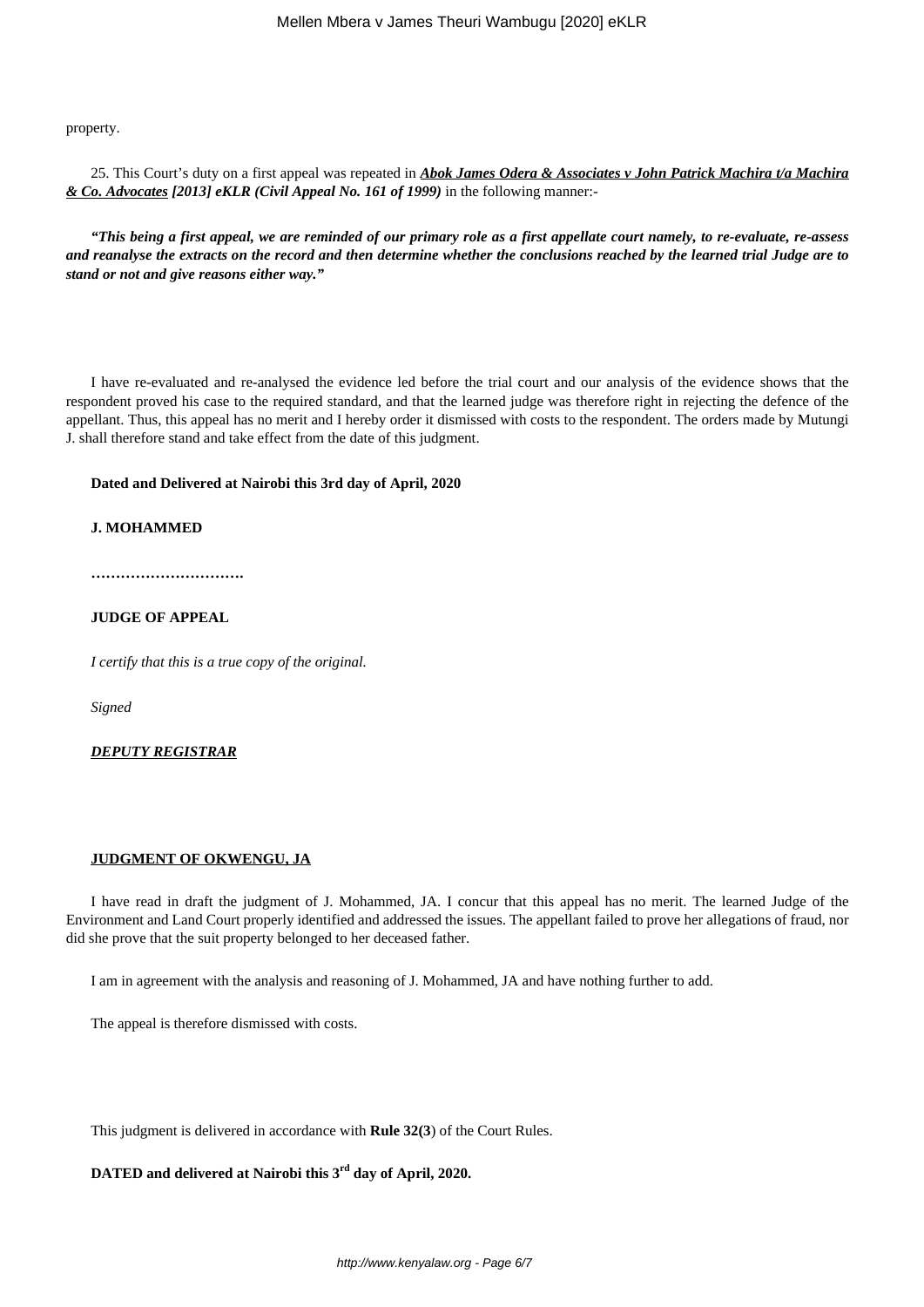property.

25. This Court's duty on a first appeal was repeated in *Abok James Odera & Associates v John Patrick Machira t/a Machira & Co. Advocates [2013] eKLR (Civil Appeal No. 161 of 1999)* in the following manner:-

*"This being a first appeal, we are reminded of our primary role as a first appellate court namely, to re-evaluate, re-assess and reanalyse the extracts on the record and then determine whether the conclusions reached by the learned trial Judge are to stand or not and give reasons either way."*

I have re-evaluated and re-analysed the evidence led before the trial court and our analysis of the evidence shows that the respondent proved his case to the required standard, and that the learned judge was therefore right in rejecting the defence of the appellant. Thus, this appeal has no merit and I hereby order it dismissed with costs to the respondent. The orders made by Mutungi J. shall therefore stand and take effect from the date of this judgment.

# **Dated and Delivered at Nairobi this 3rd day of April, 2020**

# **J. MOHAMMED**

**………………………….**

# **JUDGE OF APPEAL**

*I certify that this is a true copy of the original.*

*Signed*

# *DEPUTY REGISTRAR*

# **JUDGMENT OF OKWENGU, JA**

I have read in draft the judgment of J. Mohammed, JA. I concur that this appeal has no merit. The learned Judge of the Environment and Land Court properly identified and addressed the issues. The appellant failed to prove her allegations of fraud, nor did she prove that the suit property belonged to her deceased father.

I am in agreement with the analysis and reasoning of J. Mohammed, JA and have nothing further to add.

The appeal is therefore dismissed with costs.

This judgment is delivered in accordance with **Rule 32(3**) of the Court Rules.

# **DATED and delivered at Nairobi this 3rd day of April, 2020.**